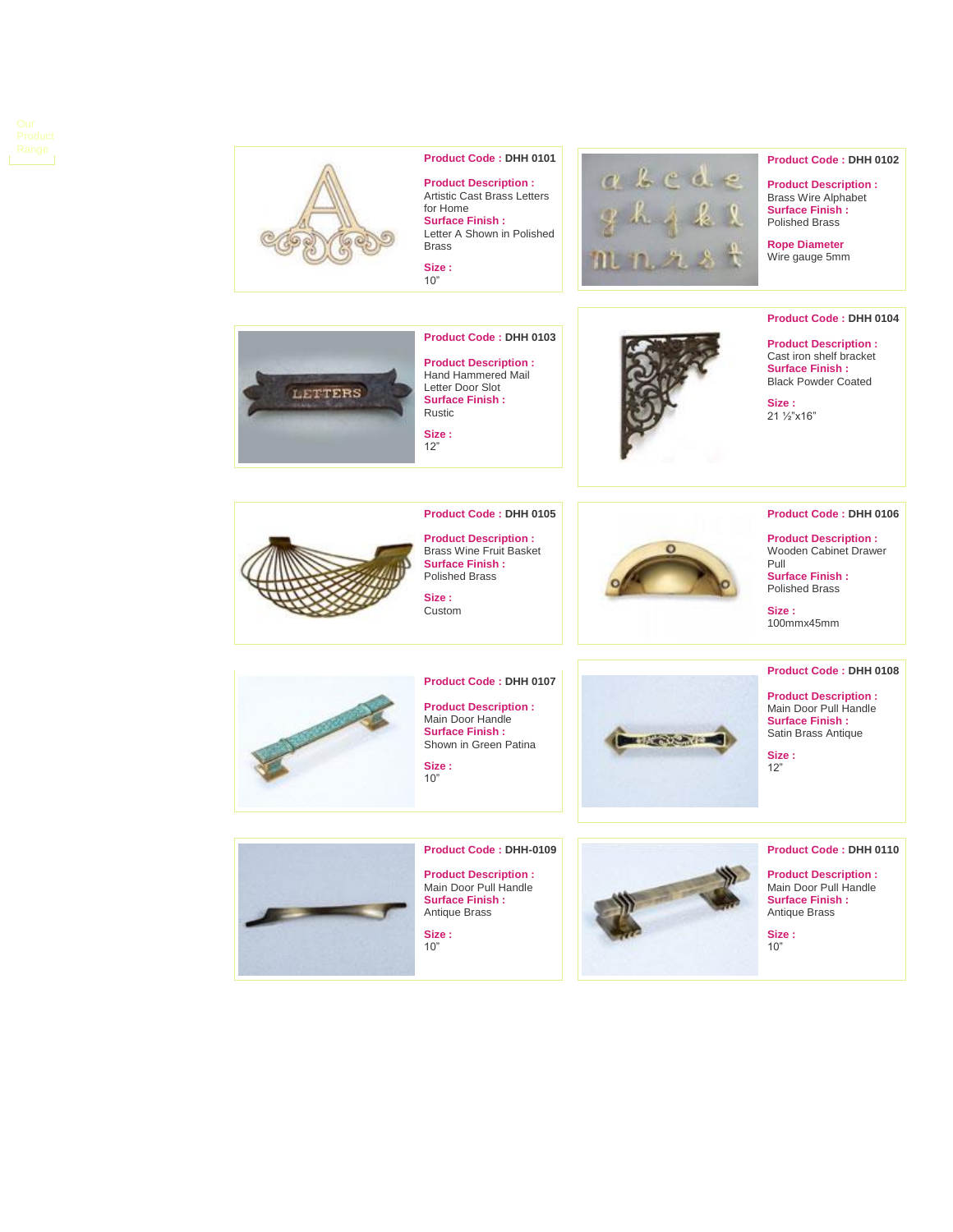



### **Product Code : DHH 0101**

**Product Description :** Artistic Cast Brass Letters for Home **Surface Finish :** Letter A Shown in Polished Brass

**Size :** 10"



**Product Code : DHH 0102**

**Product Code : DHH 0104 Product Description :** Cast iron shelf bracket **Surface Finish :** Black Powder Coated

**Product Description :** Brass Wire Alphabet **Surface Finish :** Polished Brass

**Rope Diameter** Wire gauge 5mm

**Size :** 21 ½"x16"



**Product Description :** Hand Hammered Mail Letter Door Slot **Surface Finish :** Rustic **Size :**

**Product Code : DHH 0105 Product Description :** Brass Wine Fruit Basket **Surface Finish :** Polished Brass

**Product Code : DHH 0107 Product Description :** Main Door Handle **Surface Finish :** Shown in Green Patina

**Product Code : DHH 0103**

12"

**Size :** Custom

**Size :** 10"



**Product Code : DHH 0106**

**Product Description :** Wooden Cabinet Drawer Pull

**Surface Finish :** Polished Brass

**Size :** 100mmx45mm

# **Product Code : DHH 0108**

**Product Description :** Main Door Pull Handl e **Surface Finish :** Satin Brass Antique

**Size :** 12"

### **Product Code : DHH 0110**

**Product Description :** Main Door Pull Handle **Surface Finish :** Antique Brass

**Size :** 10"



**Product Code : DHH -0109**

**Product Description :** Main Door Pull Handle **Surface Finish :** Antique Brass

**Size :** 10"



**DESTRUCTION**